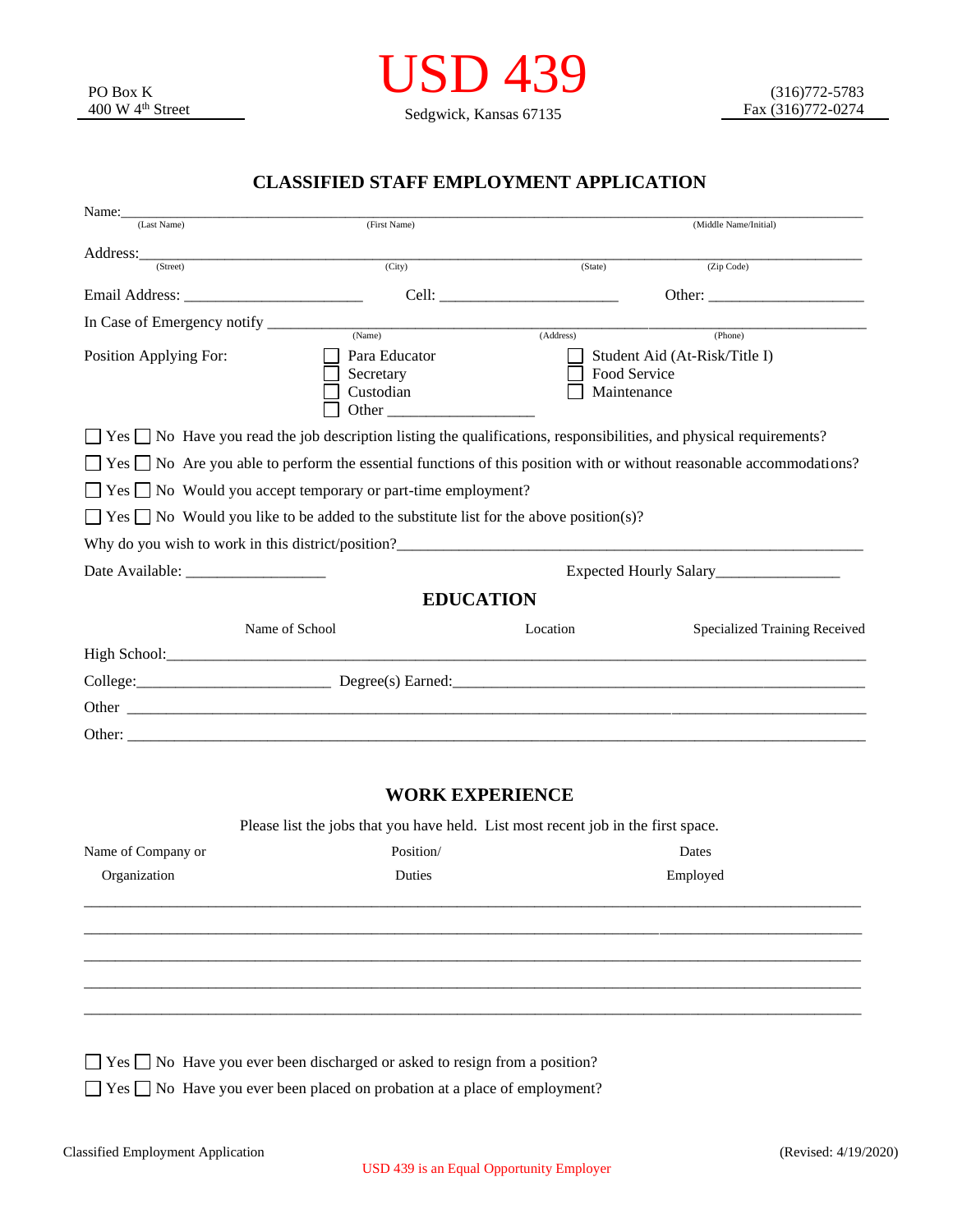

## **CLASSIFIED STAFF EMPLOYMENT APPLICATION**

| Name:<br>(Last Name)   | (First Name)                                                                                                                                                                                                                                                                   |                        | (Middle Name/Initial)                                                                                                            |  |  |  |  |
|------------------------|--------------------------------------------------------------------------------------------------------------------------------------------------------------------------------------------------------------------------------------------------------------------------------|------------------------|----------------------------------------------------------------------------------------------------------------------------------|--|--|--|--|
| Address:               |                                                                                                                                                                                                                                                                                |                        |                                                                                                                                  |  |  |  |  |
| (Street)               | (City)                                                                                                                                                                                                                                                                         | (State)                | (Zip Code)                                                                                                                       |  |  |  |  |
|                        |                                                                                                                                                                                                                                                                                |                        |                                                                                                                                  |  |  |  |  |
|                        | (Name)                                                                                                                                                                                                                                                                         | (Address)              | (Phone)                                                                                                                          |  |  |  |  |
| Position Applying For: | Para Educator<br>Secretary<br>Custodian<br><b>Other</b> contracts the contract of the contract of the contract of the contract of the contract of the contract of the contract of the contract of the contract of the contract of the contract of the contract of the contract |                        | Student Aid (At-Risk/Title I)<br>Food Service<br>Maintenance                                                                     |  |  |  |  |
|                        | $\Box$ Yes $\Box$ No Have you read the job description listing the qualifications, responsibilities, and physical requirements?                                                                                                                                                |                        |                                                                                                                                  |  |  |  |  |
|                        |                                                                                                                                                                                                                                                                                |                        | $\Box$ Yes $\Box$ No Are you able to perform the essential functions of this position with or without reasonable accommodations? |  |  |  |  |
|                        | $\Box$ Yes $\Box$ No Would you accept temporary or part-time employment?                                                                                                                                                                                                       |                        |                                                                                                                                  |  |  |  |  |
|                        | $\Box$ Yes $\Box$ No Would you like to be added to the substitute list for the above position(s)?                                                                                                                                                                              |                        |                                                                                                                                  |  |  |  |  |
|                        |                                                                                                                                                                                                                                                                                |                        |                                                                                                                                  |  |  |  |  |
|                        | Expected Hourly Salary<br><u>Letter</u>                                                                                                                                                                                                                                        |                        |                                                                                                                                  |  |  |  |  |
|                        |                                                                                                                                                                                                                                                                                | <b>EDUCATION</b>       |                                                                                                                                  |  |  |  |  |
|                        | Name of School                                                                                                                                                                                                                                                                 | Location               | Specialized Training Received                                                                                                    |  |  |  |  |
|                        |                                                                                                                                                                                                                                                                                |                        |                                                                                                                                  |  |  |  |  |
|                        |                                                                                                                                                                                                                                                                                |                        |                                                                                                                                  |  |  |  |  |
|                        |                                                                                                                                                                                                                                                                                |                        |                                                                                                                                  |  |  |  |  |
|                        |                                                                                                                                                                                                                                                                                |                        |                                                                                                                                  |  |  |  |  |
|                        |                                                                                                                                                                                                                                                                                | <b>WORK EXPERIENCE</b> |                                                                                                                                  |  |  |  |  |
|                        | Please list the jobs that you have held. List most recent job in the first space.                                                                                                                                                                                              |                        |                                                                                                                                  |  |  |  |  |
| Name of Company or     | Position/                                                                                                                                                                                                                                                                      |                        | Dates                                                                                                                            |  |  |  |  |
| Organization           | Duties                                                                                                                                                                                                                                                                         |                        | Employed                                                                                                                         |  |  |  |  |
|                        |                                                                                                                                                                                                                                                                                |                        |                                                                                                                                  |  |  |  |  |
|                        |                                                                                                                                                                                                                                                                                |                        |                                                                                                                                  |  |  |  |  |
|                        | $\Box$ Yes $\Box$ No Have you ever been discharged or asked to resign from a position?                                                                                                                                                                                         |                        |                                                                                                                                  |  |  |  |  |
|                        | $\Box$ Yes $\Box$ No Have you ever been placed on probation at a place of employment?                                                                                                                                                                                          |                        |                                                                                                                                  |  |  |  |  |